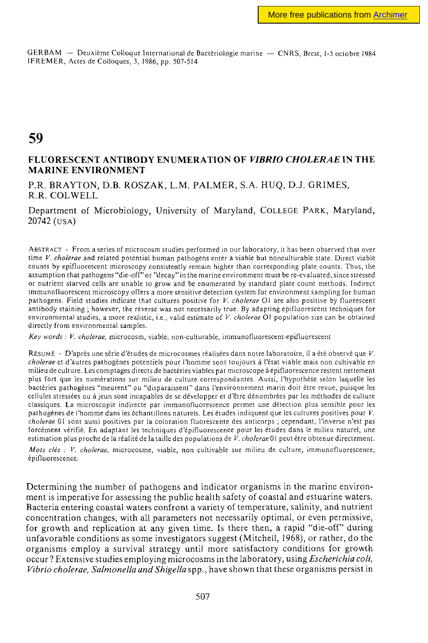GERBAM — Deuxième Colloque International de Bactériologie marine — CNRS, Brest, 1-5 octobre 1984 1FREMER, Actes de Colloques, 3, 1986, pp. 507-514

## **59**

## **FLUORESCENT ANTIBODY ENUMERATION OF** *VIBRIO CHOLERAE m* **THE MARINE ENVIRONMENT**

P.R. BRAYTON, D.B. ROSZAK, L.M. PALMER, S.A. HUQ, D.J. GRIMES, R.R. COLWELL

Department of Microbiology, University of Maryland, COLLEGE PARK, Maryland, 20742 (USA)

ABSTRACT - From a series of microcosm studies performed in our laboratory, it has been observed that over time *V. cholerae* and related potential human pathogens enter a viable but nonculturable state. Direct viable counts by epifluorescent microscopy consistently remain higher than corresponding plate counts. Thus, the assumption that pathogens "die-off" or "decay" in the marine environment must be re-evaluated, since stressed or nutrient starved cells are unable to grow and be enumerated by standard plate count methods. Indirect immunofluorescent microscopy offers a more sensitive detection system for environment sampling for human pathogens. Field studies indicate that cultures positive for *V. cholerae* 01 are also positive by fluorescent antibody staining ; however, the reverse was not necessarily true. By adapting epifluorescent techniques for environmental studies, a more realistic, i.e., valid estimate of *V. cholerae* 01 population size can be obtained directly from environmental samples.

*Key words : V. cholerae,* microcosm, viable, non-culturable, immunofluorescent-epifluorescent

RÉSUMÉ - D'après une série d'études de microcosmes réalisées dans notre laboratoire, il a été observé que *V, cholerae* et d'autres pathogènes potentiels pour l'homme sont toujours à l'état viable mais non cultivable en milieu de culture. Les comptages directs de bactéries viables par microscope à épifluorescence restent nettement plus fort que les numérations sur milieu de culture correspondantes. Aussi, l'hypothèse selon laquelle les bactéries pathogènes "meurent" ou "disparaissent" dans l'environnement marin doit être revue, puisque les cellules stressées ou à jeun sont incapables de se développer et d'être dénombrées par les méthodes de culture classiques. La microscopie indirecte par immunofluorescence permet une détection plus sensible pour les pathogènes de l'homme dans les échantillons naturels. Les études indiquent que les cultures positives pour *V, cholerae* 01 sont aussi positives par la coloration fluorescente des anticorps ; cependant, l'inverse n'est pas forcément vérifié. En adaptant les techniques d'épifluorescence pour les études dans le milieu naturel, une estimation plus proche de la réalité de la taille des populations de V. cholerae 01 peut être obtenue directement.

*Mois clés : V. cholerae,* microcosme, viable, non cultivable sur milieu de culture, immunofluorescence, épifluorescence,

Determining the number of pathogens and indicator organisms in the marine environment is imperative for assessing the public health safety of coastal and estuarine waters. Bacteria entering coastal waters confront a variety of temperature, salinity, and nutrient concentration changes, with all parameters not necessarily optimal, or even permissive, for growth and replication at any given time. Is there then, a rapid "die-off" during unfavorable conditions as some investigators suggest (Mitchell, 1968), or rather, do the organisms employ a survival strategy until more satisfactory conditions for growth occur ? Extensive studies employing microcosms in the laboratory, using *Escherichia coli, Vibrio cholerae, Salmonella and Shigella* spp., have shown that these organisms persist in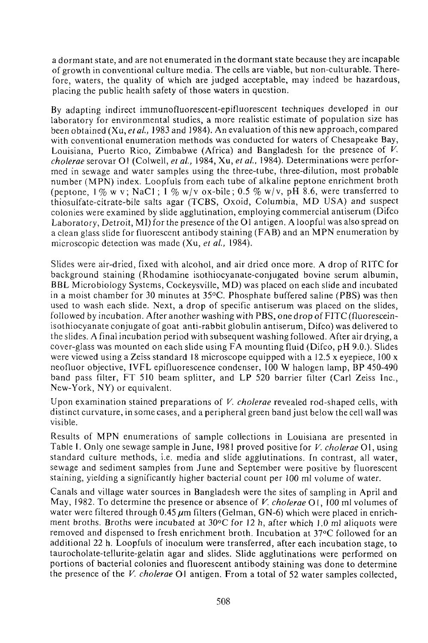a dormant state, and are not enumerated in the dormant state because they are incapable of growth in conventional culture media. The cells are viable, but non-culturable. Therefore, waters, the quality of which are judged acceptable, may indeed be hazardous, placing the public health safety of those waters in question.

By adapting indirect immunofiuorescent-epifiuorescent techniques developed in our laboratory for environmental studies, a more realistic estimate of population size has been obtained (Xu, *et al.,* 1983 and 1984). An evaluation of this new approach, compared with conventional enumeration methods was conducted for waters of Chesapeake Bay, Louisiana, Puerto Rico, Zimbabwe (Africa) and Bangladesh for the presence of *V. cholerae* serovar Ol (Colwell, *et ai,* 1984, Xu, *et ai,* 1984). Determinations were performed in sewage and water samples using the three-tube, three-dilution, most probable number (MPN) index. Loopfuls from each tube of alkaline peptone enrichment broth (peptone,  $1\%$  w v; NaC1;  $1\%$  w/v ox-bile; 0.5 % w/v, pH 8.6, were transferred to thiosulfate-citrate-bile salts agar (TCBS, Oxoid, Columbia, MD USA) and suspect colonies were examined by slide agglutination, employing commercial antiserum (Difco Laboratory, Detroit, MI) for the presence of the 01 antigen. A loopful was also spread on a clean glass slide for fluorescent antibody staining (FAB) and an MPN enumeration by microscopic detection was made (Xu, *et al,* 1984).

Slides were air-dried, fixed with alcohol, and air dried once more. A drop of RITC for background staining (Rhodamine isothiocyanate-conjugated bovine serum albumin, BBL Microbiology Systems, Cockeysville, MD) was placed on each slide and incubated in a moist chamber for 30 minutes at 35°C. Phosphate buffered saline (PBS) was then used to wash each slide. Next, a drop of specific antiserum was placed on the slides, followed by incubation. After another washing with PBS, one drop of FITC (fluoresceinisothiocyanate conjugate of goat anti-rabbit globulin antiserum, Difco) was delivered to the slides. A final incubation period with subsequent washing followed. After air drying, a cover-glass was mounted on each slide using FA mounting fluid (Difco, pH 9.O.). Slides were viewed using a Zeiss standard 18 microscope equipped with a 12.5 x eyepiece, 100 x neofluor objective, IVFL epifluorescence condenser, 100 W halogen lamp, BP 450-490 band pass filter, FT 510 beam splitter, and LP 520 barrier filter (Carl Zeiss Inc., New-York, NY) or equivalent.

Upon examination stained preparations of *V. cholerae* revealed rod-shaped cells, with distinct curvature, in some cases, and a peripheral green band just below the cell wall was visible.

Results of MPN enumerations of sample collections in Louisiana are presented in Table I. Only one sewage sample in June, 1981 proved positive for *V. cholerae* 01, using standard culture methods, i.e. media and slide agglutinations. In contrast, all water, sewage and sediment samples from June and September were positive by fluorescent staining, yielding a significantly higher bacterial count per 100 ml volume of water.

Canals and village water sources in Bangladesh were the sites of sampling in April and May, 1982. To determine the presence or absence of *V. cholerae* Ol, 100 ml volumes of water were filtered through 0.45  $\mu$ m filters (Gelman, GN-6) which were placed in enrichment broths. Broths were incubated at  $30^{\circ}$ C for 12 h, after which 1.0 ml aliquots were removed and dispensed to fresh enrichment broth. Incubation at 37°C followed for an additional 22 h. Loopfuls of inoculum were transferred, after each incubation stage, to taurocholate-tellurite-gelatin agar and slides. Slide agglutinations were performed on portions of bacterial colonies and fluorescent antibody staining was done to determine the presence of the *V. cholerae* Ol antigen. From a total of 52 water samples collected,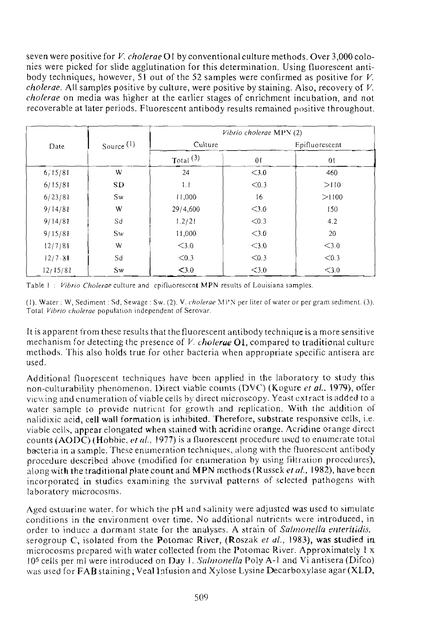seven were positive for *V. cholerae* 01 by conventional culture methods. Over 3,000 colonies were picked for slide agglutination for this determination. Using fluorescent antibody techniques, however, 51 out of the 52 samples were confirmed as positive for *V. cholerae.* All samples positive by culture, were positive by staining. Also, recovery of *V. cholerae* on media was higher at the earlier stages of enrichment incubation, and not recoverable at later periods. Fluorescent antibody results remained positive throughout.

| Date     | Source $(1)$ | Vibrio cholerae MPN (2) |         |                |  |
|----------|--------------|-------------------------|---------|----------------|--|
|          |              | Culture                 |         | Epifluorescent |  |
|          |              | $\text{Total}^{(3)}$    | 01      | 0 <sub>1</sub> |  |
| 6:15/81  | W            | 24                      | < 3.0   | 460            |  |
| 6/15/81  | SD           | 1.1                     | < 0.3   | >110           |  |
| 6/23/81  | Sw           | 11,000                  | 16      | >1100          |  |
| 9/14/81  | W            | 29/4,600                | $<$ 3.0 | 150            |  |
| 9/14/81  | Sd           | 1.2/21                  | < 0.3   | 4.2            |  |
| 9/15/81  | Sw           | 11,000                  | $<$ 3.0 | 20             |  |
| 12/7/81  | W            | $<$ 3.0                 | $<$ 3.0 | $<$ 3.0        |  |
| 12/7.81  | Sd           | < 0.3                   | < 0.3   | < 0.3          |  |
| 12/15/81 | Sw           | $<$ 3.0                 | $<$ 3.0 | $<$ 3.0        |  |

Table 1 : *Vibrio Cholerae* culture and epifluorescent MPN results of Louisiana samples.

(1). Water : W, Sediment : Sd, Sewage : Sw. (2). V. *cholerae* MPN per liter of water or per gram sediment. (3). Total *Vibrio cholerae* population independent of Serovar.

It is apparent from these results that the fluorescent antibody technique is a more sensitive mechanism for detecting the presence of *V. cholerae* Ol, compared to traditional culture methods. This also holds true for other bacteria when appropriate specific antisera are used.

Additional fluorescent techniques have been applied in the laboratory to study this non-culturability phenomenon. Direct viable counts (DVC) (Kogure *et ai.* 1979), offer viewing and enumeration of viable cells by direct microscopy. Yeast extract is added to a water sample to provide nutrient for growth and replication. With the addition of nalidixic acid, cell wall formation is inhibited. Therefore, substrate responsive cells, i.e. viable cells, appear elongated when stained with acridine orange. Acridine orange direct counts ( AODC) (Hobbie, *et ai,* 1977) is a fluorescent procedure used to enumerate total bacteria in a sample. These enumeration techniques, along with the fluorescent antibody procedure described above (modified for enumeration by using filtration procedures), along with the traditional plate count and MPN methods ( Russek *et al.,* 1982), have been incorporated in studies examining the survival patterns of selected pathogens with laboratory microcosms.

Aged estuarine water, for which the pH and salinity were adjusted was used to simulate conditions in the environment over time. No additional nutrients were introduced, in order to induce a dormant state for the analyses. A strain of *Salmonella enteritidis,*  serogroup C, isolated from the Potomac River, (Roszak *et al.,* 1983), was studied in microcosms prepared with water collected from the Potomac River. Approximately 1 x 10<sup>5</sup> cells per ml were introduced on Day 1. *Salmonella* Poly A-l and Vi antisera (Difco) was used for **FAB** staining; Veal Infusion and Xylose Lysine Decarboxylase agar **(XLD,**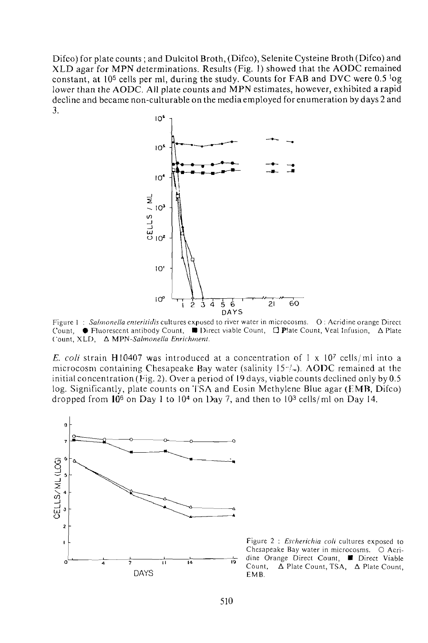Difco) for plate counts ; and Dulcitol Broth, (Difco), Selenite Cysteine Broth (Difco) and XLD agar for MPN determinations. Results (Fig. 1) showed that the AODC remained constant, at 10<sup>5</sup> cells per ml, during the study. Counts for FAB and DVC were 0.5  $^{1}$ og lower than the AODC. All plate counts and MPN estimates, however, exhibited a rapid decline and became non-culturable on the media employed for enumeration by days 2 and 3.



Figure 1 : *Salmonella enteritidis* cultures exposed to river water in microcosms. O : Acridine orange Direct Count, • Fluorescent antibody Count, • Direct viable Count, O Plate Count, Veal Infusion, A Plate Count, XLD, A *MPN-Salmonella Enrichment* 

*E. coli* strain H10407 was introduced at a concentration of 1 x 107 cells/ml into a microcosm containing Chesapeake Bay water (salinity  $15^{\degree}$ ). AODC remained at the initial concentration (Fig. 2). Over a period of 19 days, viable counts declined only by  $0.5$ log. Significantly, plate counts on TSA and Eosin Methylene Blue agar (EMB, Difco) dropped from  $10^6$  on Day 1 to 10<sup>4</sup> on Day 7, and then to 10<sup>3</sup> cells/ml on Day 14.



Figure 2 ; *Escherichia coli* cultures exposed to Chesapeake Bay water in microcosms. O Acridine Orange Direct Count, **U** Direct Viable Count,  $\Delta$  Plate Count, TSA,  $\Delta$  Plate Count, EMB.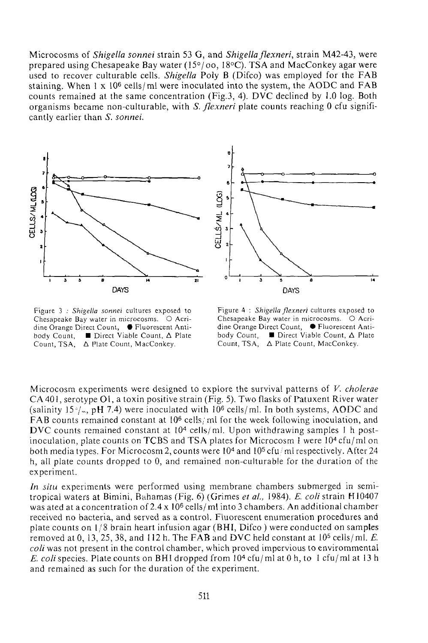Microcosms of *Shigella sonnei* strain 53 G, and *Shigella flexneri,* strain M42-43, were prepared using Chesapeake Bay water (15°/oo, 18°C). TSA and MacConkey agar were used to recover culturable cells. *Shigella* Poly B (Difco) was employed for the FAB staining. When 1 x 10<sup>6</sup> cells/ml were inoculated into the system, the AODC and FAB counts remained at the same concentration (Fig.3, 4). DVC declined by 1.0 log. Both organisms became non-culturable, with *S. flexneri* plate counts reaching 0 cfu significantly earlier than S. sonnei.



Figure 3 ; *Shigella sonnei* cultures exposed to Chesapeake Bay water in microcosms. O Acridine Orange Direct Count, **•** Fluorescent Antibody Count,  $\Box$  Direct Viable Count,  $\Delta$  Plate Count, TSA, A Plate Count, MacConkey.



Figure 4 : *Shigella flexneri* cultures exposed to Chesapeake Bay water in microcosms. O Acridine Orange Direct Count, · Fluorescent Antibody Count,  $\Box$  Direct Viable Count,  $\Delta$  Plate Count, TSA,  $\Delta$  Plate Count, MacConkey.

Microcosm experiments were designed to explore the survival patterns of *V. cholerae*  CA 401, serotype O1, a toxin positive strain (Fig. 5). Two flasks of Patuxent River water (salinity 15 $\sqrt{N}$ , pH 7.4) were inoculated with 10<sup>6</sup> cells/ml. In both systems, AODC and FAB counts remained constant at  $10^6$  cells; ml for the week following inoculation, and DVC counts remained constant at  $10<sup>4</sup>$  cells/ml. Upon withdrawing samples 1 h postinoculation, plate counts on TCBS and TSA plates for Microcosm I were  $10^4$  cfu/ml on both media types. For Microcosm 2, counts were 10<sup>4</sup> and 10<sup>5</sup> cfu/ml respectively. After 24 *h,* all plate counts dropped to 0, and remained non-culturable for the duration of the experiment.

*In situ* experiments were performed using membrane chambers submerged in semitropical waters at Bimini, Bahamas (Fig. 6) (Grimes *et ai,* 1984). *E. coli* strain H10407 was ated at a concentration of 2.4 x 10<sup>6</sup> cells/ml into 3 chambers. An additional chamber received no bacteria, and served as a control. Fluorescent enumeration procedures and plate counts on 1/8 brain heart infusion agar (BHI, Difco ) were conducted on samples removed at 0, 13, 25, 38, and 112 h. The FAB and DVC held constant at  $10^5$  cells/ml. *E. coli* was not present in the control chamber, which proved impervious to envirommental *E. coli* species. Plate counts on BHI dropped from 10<sup>4</sup> cfu/ml at 0 h, to 1 cfu/ml at 13 h and remained as such for the duration of the experiment.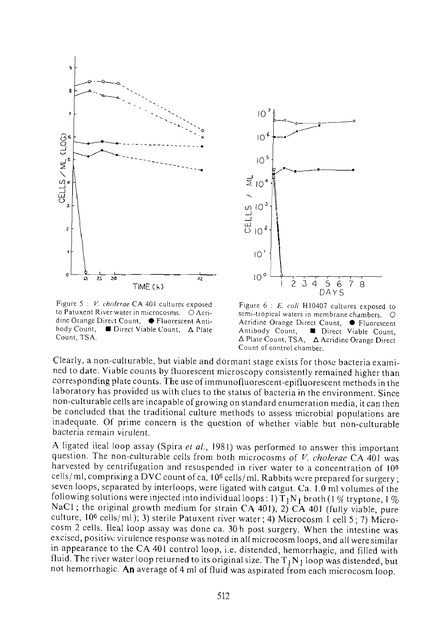



Figure 5 ; *V. cholerae* CA 401 cultures exposed to Patuxent River water in microcosms. O Acridine Orange Direct Count, ● Fluorescent Antibody Count, • Direct Viable Count, A Plate Count, TSA.

Figure 6 : *E. coli* H10407 cultures exposed to semi-tropical waters in membrane chambers. O Acridine Orange Direct Count, ● Fluorescent<br>Antibody Count, ■ Direct Viable Count. **Direct Viable Count,** A Plate Count, TSA, A Acridine Orange Direct Count of control chamber.

Clearly, a non-culturable, but viable and dormant stage exists for those bacteria examined to date. Viable counts by fluorescent microscopy consistently remained higher than corresponding plate counts. The use of immunofluorescent-epifluorescent methods in the laboratory has provided us with clues to the status of bacteria in the environment. Since non-culturable cells are incapable of growing on standard enumeration media, it can then be concluded that the traditional culture methods to assess microbial populations are inadequate. Of prime concern is the question of whether viable but non-culturable bacteria remain virulent.

A ligated ileal loop assay (Spira *el al.,* 1981) was performed to answer this important question. The non-culturable cells from both microcosms of *V. cholerae* CA 401 was harvested by centrifugation and resuspended in river water to a concentration of I0<sup>8</sup> cells/ml, comprising a DVC count of ca.  $10^6$  cells/ml. Rabbits were prepared for surgery; seven loops, separated by interloops, were ligated with catgut. Ca. 1.0 ml volumes of the following solutions were injected into individual loops: 1)  $T_1N_1$  broth (1 % tryptone, 1 % NaCl ; the original growth medium for strain CA 401), 2) CA 401 (fully viable, pure culture, 10<sup>6</sup> cells/ml); 3) sterile Patuxent river water; 4) Microcosm 1 cell 5 ; 7) Microcosm 2 cells. Ileal loop assay was done ca. 30 h post surgery. When the intestine was excised, positive virulence response was noted in all microcosm loops, and all were similar in appearance to the CA 401 control loop, i.e. distended, hemorrhagic, and filled with fluid. The river water loop returned to its original size. The  $T_1N_1$  loop was distended, but not hemorrhagic. An average of 4 ml of fluid was aspirated from each microcosm loop.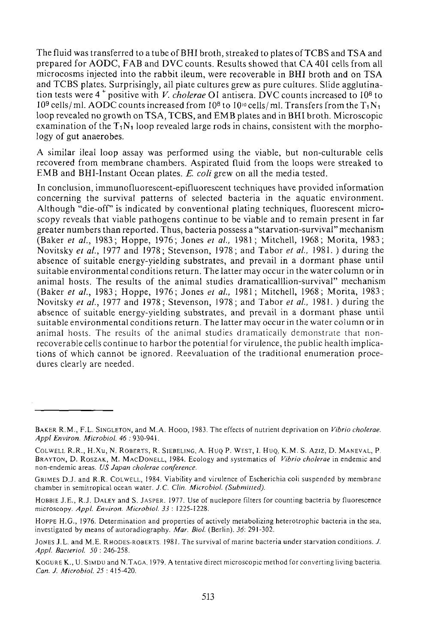The fluid was transferred to a tube of BHI broth, streaked to plates of TCBS and TS A and prepared for AODC, FAB and DVC counts. Results showed that CA 401 cells from all microcosms injected into the rabbit ileum, were recoverable in BHI broth and on TSA and TCBS plates. Surprisingly, all plate cultures grew as pure cultures. Slide agglutination tests were 4<sup>+</sup> positive with *V. cholerae* Ol antisera. DVC counts increased to 10<sup>8</sup> to 10<sup>9</sup> cells/ml. AODC counts increased from 10<sup>8</sup> to 10<sup>10</sup> cells/ml. Transfers from the T<sub>1</sub>N<sub>1</sub> loop revealed no growth on TSA, TCBS, and EMB plates and in BHI broth. Microscopic examination of the  $T_1N_1$  loop revealed large rods in chains, consistent with the morphology of gut anaerobes.

A similar ileal loop assay was performed using the viable, but non-culturable cells recovered from membrane chambers. Aspirated fluid from the loops were streaked to EMB and BHI-Instant Ocean plates. *E. coli* grew on all the media tested.

In conclusion, immunofluorescent-epifluorescent techniques have provided information concerning the survival patterns of selected bacteria in the aquatic environment. Although "die-off" is indicated by conventional plating techniques, fluorescent microscopy reveals that viable pathogens continue to be viable and to remain present in far greater numbers than reported. Thus, bacteria possess a "starvation-survival" mechanism (Baker *et al,* 1983; Hoppe, 1976; Jones *et al,* 1981; Mitchell, 1968; Morita, 1983; Novitsky *et al.,* 1977 and 1978; Stevenson, 1978; and Tabor *et al,* 1981. ) during the absence of suitable energy-yielding substrates, and prevail in a dormant phase until suitable environmental conditions return. The latter may occur in the water column or in animal hosts. The results of the animal studies dramaticalllion-survival" mechanism (Baker *et al,* 1983; Hoppe, 1976; Jones *et al,* 1981; Mitchell, 1968; Morita, 1983; Novitsky *et al,* 1977 and 1978; Stevenson, 1978; and Tabor *et al,* 1981. ) during the absence of suitable energy-yielding substrates, and prevail in a dormant phase until suitable environmental conditions return. The latter mav occur in the water column or in animal hosts. The results of the animal studies dramatically demonstrate that nonrecoverable cells continue to harbor the potential for virulence, the public health implications of which cannot be ignored. Reevaluation of the traditional enumeration procedures clearly are needed.

BAKER R.M., F.L. SINGLETON, and M.A. HOOD, 1983. The effects of nutrient deprivation on *Vibrio cholerae. Appl Environ. Microbiol. 46 :* 930-941.

COLWELL R.R., H.Xu, N. ROBERTS, R. SIEBELING, A. HUQ P. WEST, I. HUQ, K..M. S. Aziz, D. MANEVAL, P BRAYTON, D. ROSZAK, M. MACDONELL, 1984. Ecology and systematics of *Vibrio cholerae* in endemic and non-endemic areas. *US Japan cholerae conference.* 

GRIMES D.J. and R.R. COLWELL, 1984. Viability and virulence of Escherichia coli suspended by membrane chamber in semitropical ocean water. *J. C. Clin. Microbiol. (Submitted).* 

HOBBIE J.E., R.J. DALEY and S. JASPER. 1977. Use of nuclepore filters for counting bacteria by fluorescence microscopy. *Appl. Environ. Microbiol. 33* : 1225-1228.

HOPPE H.G., 1976. Determination and properties of actively metabolizing heterotrophic bacteria in the sea, investigated by means of autoradiography. *Mar. Biol.* (Berlin). *36:* 291-302.

JONES J.L. and M.E. RHODES-ROBERTS. 1981. The survival of marine bacteria under starvation conditions. *J. Appl. Bacteriol. 50* : 246-258.

KOGURE K., U. SIMDU and N.TAGA, 1979. A tentative direct microscopic method for converting living bacteria. *Can. J. Microbiol. 25 :* 415-420.